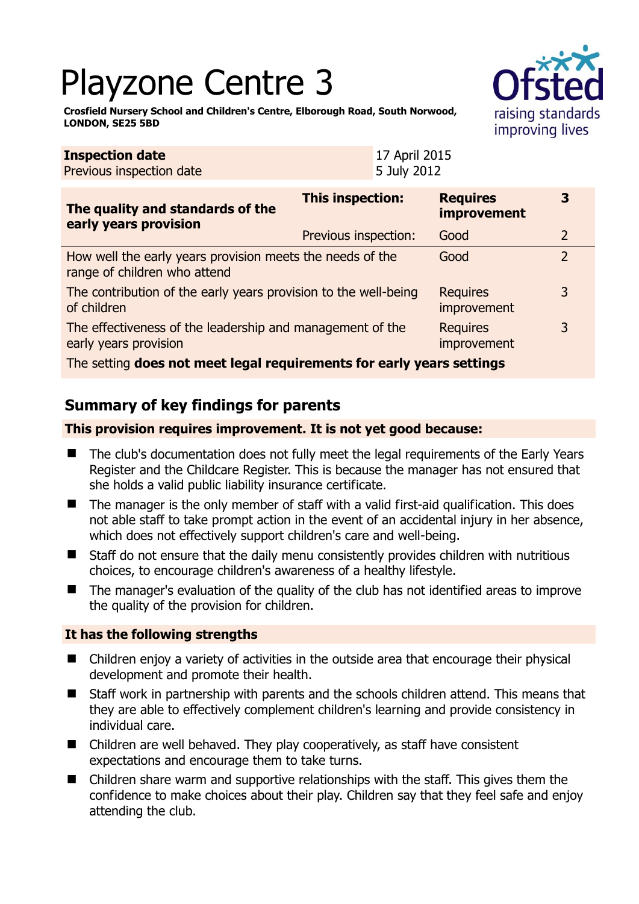# Playzone Centre 3



**3** 

3

3

**Crosfield Nursery School and Children's Centre, Elborough Road, South Norwood, LONDON, SE25 5BD** 

| <b>Inspection date</b><br>Previous inspection date                                        |                         | 17 April 2015<br>5 July 2012          |                |
|-------------------------------------------------------------------------------------------|-------------------------|---------------------------------------|----------------|
| The quality and standards of the                                                          | <b>This inspection:</b> | <b>Requires</b><br><b>improvement</b> |                |
| early years provision                                                                     | Previous inspection:    | Good                                  | $\overline{2}$ |
| How well the early years provision meets the needs of the<br>range of children who attend |                         | Good                                  | $\overline{2}$ |
| The contribution of the early years provision to the well-being<br>of children            |                         | <b>Requires</b><br>improvement        | 3              |
| The effectiveness of the leadership and management of the<br>early years provision        |                         | <b>Requires</b><br>improvement        | 3              |

The setting **does not meet legal requirements for early years settings**

# **Summary of key findings for parents**

#### **This provision requires improvement. It is not yet good because:**

- The club's documentation does not fully meet the legal requirements of the Early Years Register and the Childcare Register. This is because the manager has not ensured that she holds a valid public liability insurance certificate.
- The manager is the only member of staff with a valid first-aid qualification. This does not able staff to take prompt action in the event of an accidental injury in her absence, which does not effectively support children's care and well-being.
- Staff do not ensure that the daily menu consistently provides children with nutritious choices, to encourage children's awareness of a healthy lifestyle.
- The manager's evaluation of the quality of the club has not identified areas to improve the quality of the provision for children.

#### **It has the following strengths**

- Children enjoy a variety of activities in the outside area that encourage their physical development and promote their health.
- Staff work in partnership with parents and the schools children attend. This means that they are able to effectively complement children's learning and provide consistency in individual care.
- Children are well behaved. They play cooperatively, as staff have consistent expectations and encourage them to take turns.
- Children share warm and supportive relationships with the staff. This gives them the confidence to make choices about their play. Children say that they feel safe and enjoy attending the club.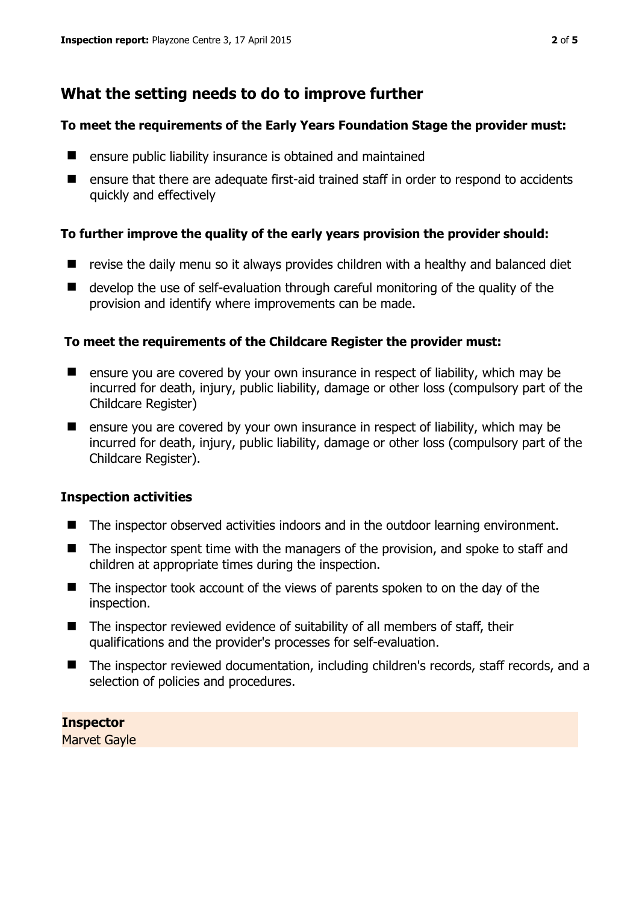# **What the setting needs to do to improve further**

#### **To meet the requirements of the Early Years Foundation Stage the provider must:**

- **E** ensure public liability insurance is obtained and maintained
- ensure that there are adequate first-aid trained staff in order to respond to accidents quickly and effectively

#### **To further improve the quality of the early years provision the provider should:**

- $\blacksquare$  revise the daily menu so it always provides children with a healthy and balanced diet
- develop the use of self-evaluation through careful monitoring of the quality of the provision and identify where improvements can be made.

#### **To meet the requirements of the Childcare Register the provider must:**

- **E** ensure you are covered by your own insurance in respect of liability, which may be incurred for death, injury, public liability, damage or other loss (compulsory part of the Childcare Register)
- $\blacksquare$  ensure you are covered by your own insurance in respect of liability, which may be incurred for death, injury, public liability, damage or other loss (compulsory part of the Childcare Register).

#### **Inspection activities**

- The inspector observed activities indoors and in the outdoor learning environment.
- The inspector spent time with the managers of the provision, and spoke to staff and children at appropriate times during the inspection.
- The inspector took account of the views of parents spoken to on the day of the inspection.
- The inspector reviewed evidence of suitability of all members of staff, their qualifications and the provider's processes for self-evaluation.
- The inspector reviewed documentation, including children's records, staff records, and a selection of policies and procedures.

### **Inspector**

Marvet Gayle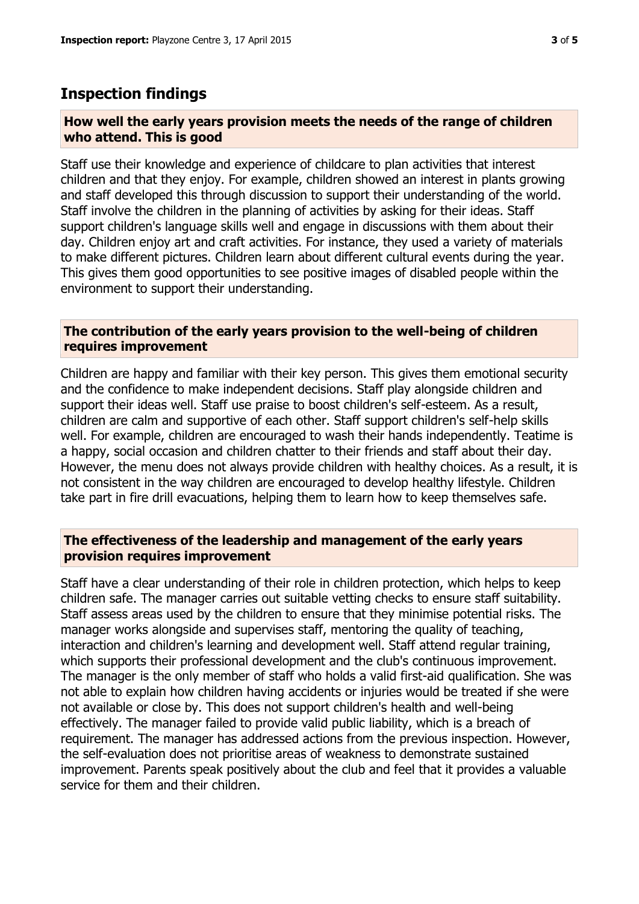## **Inspection findings**

#### **How well the early years provision meets the needs of the range of children who attend. This is good**

Staff use their knowledge and experience of childcare to plan activities that interest children and that they enjoy. For example, children showed an interest in plants growing and staff developed this through discussion to support their understanding of the world. Staff involve the children in the planning of activities by asking for their ideas. Staff support children's language skills well and engage in discussions with them about their day. Children enjoy art and craft activities. For instance, they used a variety of materials to make different pictures. Children learn about different cultural events during the year. This gives them good opportunities to see positive images of disabled people within the environment to support their understanding.

#### **The contribution of the early years provision to the well-being of children requires improvement**

Children are happy and familiar with their key person. This gives them emotional security and the confidence to make independent decisions. Staff play alongside children and support their ideas well. Staff use praise to boost children's self-esteem. As a result, children are calm and supportive of each other. Staff support children's self-help skills well. For example, children are encouraged to wash their hands independently. Teatime is a happy, social occasion and children chatter to their friends and staff about their day. However, the menu does not always provide children with healthy choices. As a result, it is not consistent in the way children are encouraged to develop healthy lifestyle. Children take part in fire drill evacuations, helping them to learn how to keep themselves safe.

#### **The effectiveness of the leadership and management of the early years provision requires improvement**

Staff have a clear understanding of their role in children protection, which helps to keep children safe. The manager carries out suitable vetting checks to ensure staff suitability. Staff assess areas used by the children to ensure that they minimise potential risks. The manager works alongside and supervises staff, mentoring the quality of teaching, interaction and children's learning and development well. Staff attend regular training, which supports their professional development and the club's continuous improvement. The manager is the only member of staff who holds a valid first-aid qualification. She was not able to explain how children having accidents or injuries would be treated if she were not available or close by. This does not support children's health and well-being effectively. The manager failed to provide valid public liability, which is a breach of requirement. The manager has addressed actions from the previous inspection. However, the self-evaluation does not prioritise areas of weakness to demonstrate sustained improvement. Parents speak positively about the club and feel that it provides a valuable service for them and their children.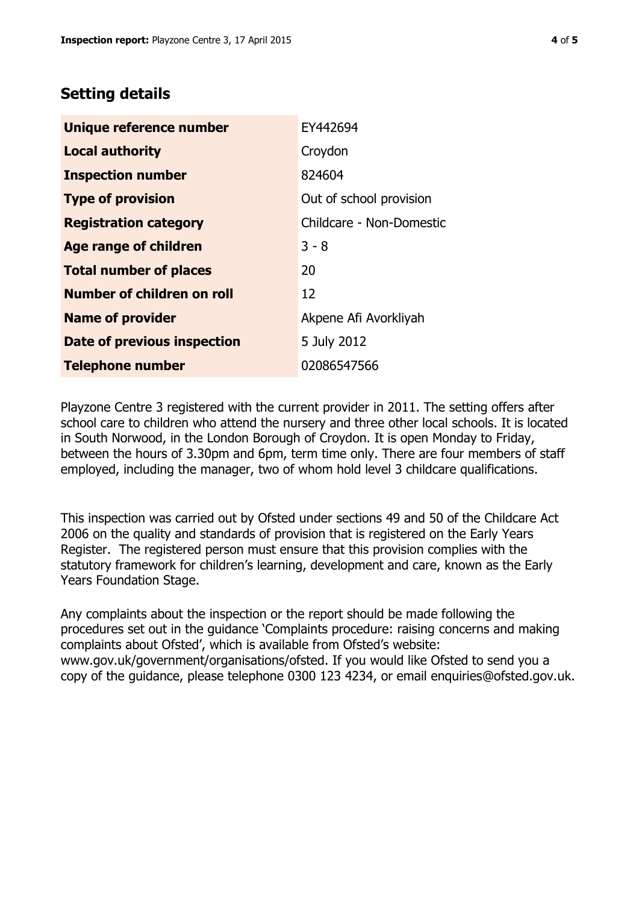## **Setting details**

| Unique reference number           | EY442694                 |
|-----------------------------------|--------------------------|
| <b>Local authority</b>            | Croydon                  |
| <b>Inspection number</b>          | 824604                   |
| <b>Type of provision</b>          | Out of school provision  |
| <b>Registration category</b>      | Childcare - Non-Domestic |
| <b>Age range of children</b>      | $3 - 8$                  |
| <b>Total number of places</b>     | 20                       |
| <b>Number of children on roll</b> | 12                       |
| <b>Name of provider</b>           | Akpene Afi Avorkliyah    |
| Date of previous inspection       | 5 July 2012              |
| <b>Telephone number</b>           | 02086547566              |

Playzone Centre 3 registered with the current provider in 2011. The setting offers after school care to children who attend the nursery and three other local schools. It is located in South Norwood, in the London Borough of Croydon. It is open Monday to Friday, between the hours of 3.30pm and 6pm, term time only. There are four members of staff employed, including the manager, two of whom hold level 3 childcare qualifications.

This inspection was carried out by Ofsted under sections 49 and 50 of the Childcare Act 2006 on the quality and standards of provision that is registered on the Early Years Register. The registered person must ensure that this provision complies with the statutory framework for children's learning, development and care, known as the Early Years Foundation Stage.

Any complaints about the inspection or the report should be made following the procedures set out in the guidance 'Complaints procedure: raising concerns and making complaints about Ofsted', which is available from Ofsted's website: www.gov.uk/government/organisations/ofsted. If you would like Ofsted to send you a copy of the guidance, please telephone 0300 123 4234, or email enquiries@ofsted.gov.uk.